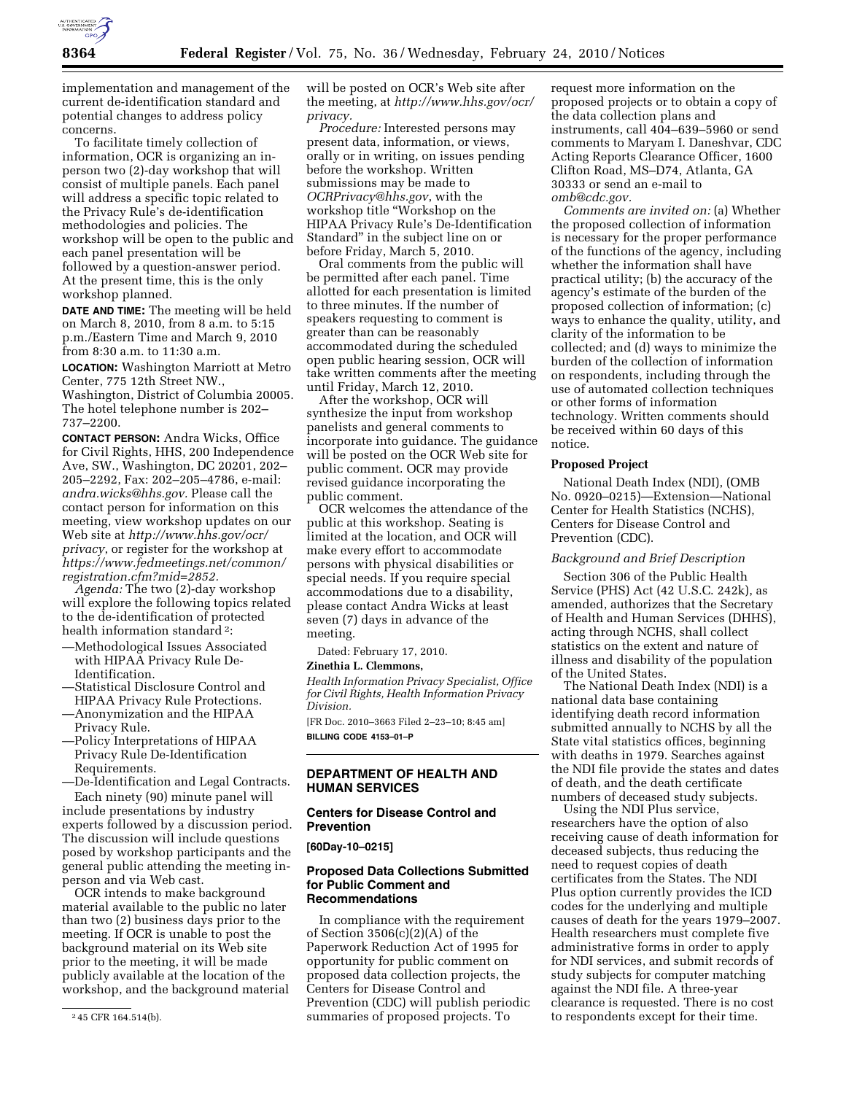

implementation and management of the current de-identification standard and potential changes to address policy concerns.

To facilitate timely collection of information, OCR is organizing an inperson two (2)-day workshop that will consist of multiple panels. Each panel will address a specific topic related to the Privacy Rule's de-identification methodologies and policies. The workshop will be open to the public and each panel presentation will be followed by a question-answer period. At the present time, this is the only workshop planned.

**DATE AND TIME:** The meeting will be held on March 8, 2010, from 8 a.m. to 5:15 p.m./Eastern Time and March 9, 2010 from 8:30 a.m. to 11:30 a.m.

**LOCATION:** Washington Marriott at Metro Center, 775 12th Street NW., Washington, District of Columbia 20005. The hotel telephone number is 202– 737–2200.

**CONTACT PERSON:** Andra Wicks, Office for Civil Rights, HHS, 200 Independence Ave, SW., Washington, DC 20201, 202– 205–2292, Fax: 202–205–4786, e-mail: *andra.wicks@hhs.gov.* Please call the contact person for information on this meeting, view workshop updates on our Web site at *http://www.hhs.gov/ocr/ privacy*, or register for the workshop at *https://www.fedmeetings.net/common/ registration.cfm?mid=2852.* 

*Agenda:* The two (2)-day workshop will explore the following topics related to the de-identification of protected health information standard 2:

- —Methodological Issues Associated with HIPAA Privacy Rule De-Identification.
- —Statistical Disclosure Control and HIPAA Privacy Rule Protections.
- —Anonymization and the HIPAA Privacy Rule.
- —Policy Interpretations of HIPAA Privacy Rule De-Identification Requirements.

—De-Identification and Legal Contracts. Each ninety (90) minute panel will

include presentations by industry experts followed by a discussion period. The discussion will include questions posed by workshop participants and the general public attending the meeting inperson and via Web cast.

OCR intends to make background material available to the public no later than two (2) business days prior to the meeting. If OCR is unable to post the background material on its Web site prior to the meeting, it will be made publicly available at the location of the workshop, and the background material will be posted on OCR's Web site after the meeting, at *http://www.hhs.gov/ocr/ privacy.* 

*Procedure:* Interested persons may present data, information, or views, orally or in writing, on issues pending before the workshop. Written submissions may be made to *OCRPrivacy@hhs.gov*, with the workshop title ''Workshop on the HIPAA Privacy Rule's De-Identification Standard'' in the subject line on or before Friday, March 5, 2010.

Oral comments from the public will be permitted after each panel. Time allotted for each presentation is limited to three minutes. If the number of speakers requesting to comment is greater than can be reasonably accommodated during the scheduled open public hearing session, OCR will take written comments after the meeting until Friday, March 12, 2010.

After the workshop, OCR will synthesize the input from workshop panelists and general comments to incorporate into guidance. The guidance will be posted on the OCR Web site for public comment. OCR may provide revised guidance incorporating the public comment.

OCR welcomes the attendance of the public at this workshop. Seating is limited at the location, and OCR will make every effort to accommodate persons with physical disabilities or special needs. If you require special accommodations due to a disability, please contact Andra Wicks at least seven (7) days in advance of the meeting.

Dated: February 17, 2010.

#### **Zinethia L. Clemmons,**

*Health Information Privacy Specialist, Office for Civil Rights, Health Information Privacy Division.* 

[FR Doc. 2010–3663 Filed 2–23–10; 8:45 am] **BILLING CODE 4153–01–P** 

### **DEPARTMENT OF HEALTH AND HUMAN SERVICES**

# **Centers for Disease Control and Prevention**

#### **[60Day-10–0215]**

# **Proposed Data Collections Submitted for Public Comment and Recommendations**

In compliance with the requirement of Section 3506(c)(2)(A) of the Paperwork Reduction Act of 1995 for opportunity for public comment on proposed data collection projects, the Centers for Disease Control and Prevention (CDC) will publish periodic summaries of proposed projects. To

request more information on the proposed projects or to obtain a copy of the data collection plans and instruments, call 404–639–5960 or send comments to Maryam I. Daneshvar, CDC Acting Reports Clearance Officer, 1600 Clifton Road, MS–D74, Atlanta, GA 30333 or send an e-mail to *omb@cdc.gov.* 

*Comments are invited on:* (a) Whether the proposed collection of information is necessary for the proper performance of the functions of the agency, including whether the information shall have practical utility; (b) the accuracy of the agency's estimate of the burden of the proposed collection of information; (c) ways to enhance the quality, utility, and clarity of the information to be collected; and (d) ways to minimize the burden of the collection of information on respondents, including through the use of automated collection techniques or other forms of information technology. Written comments should be received within 60 days of this notice.

#### **Proposed Project**

National Death Index (NDI), (OMB No. 0920–0215)—Extension—National Center for Health Statistics (NCHS), Centers for Disease Control and Prevention (CDC).

### *Background and Brief Description*

Section 306 of the Public Health Service (PHS) Act (42 U.S.C. 242k), as amended, authorizes that the Secretary of Health and Human Services (DHHS), acting through NCHS, shall collect statistics on the extent and nature of illness and disability of the population of the United States.

The National Death Index (NDI) is a national data base containing identifying death record information submitted annually to NCHS by all the State vital statistics offices, beginning with deaths in 1979. Searches against the NDI file provide the states and dates of death, and the death certificate numbers of deceased study subjects.

Using the NDI Plus service, researchers have the option of also receiving cause of death information for deceased subjects, thus reducing the need to request copies of death certificates from the States. The NDI Plus option currently provides the ICD codes for the underlying and multiple causes of death for the years 1979–2007. Health researchers must complete five administrative forms in order to apply for NDI services, and submit records of study subjects for computer matching against the NDI file. A three-year clearance is requested. There is no cost to respondents except for their time.

<sup>2</sup> 45 CFR 164.514(b).